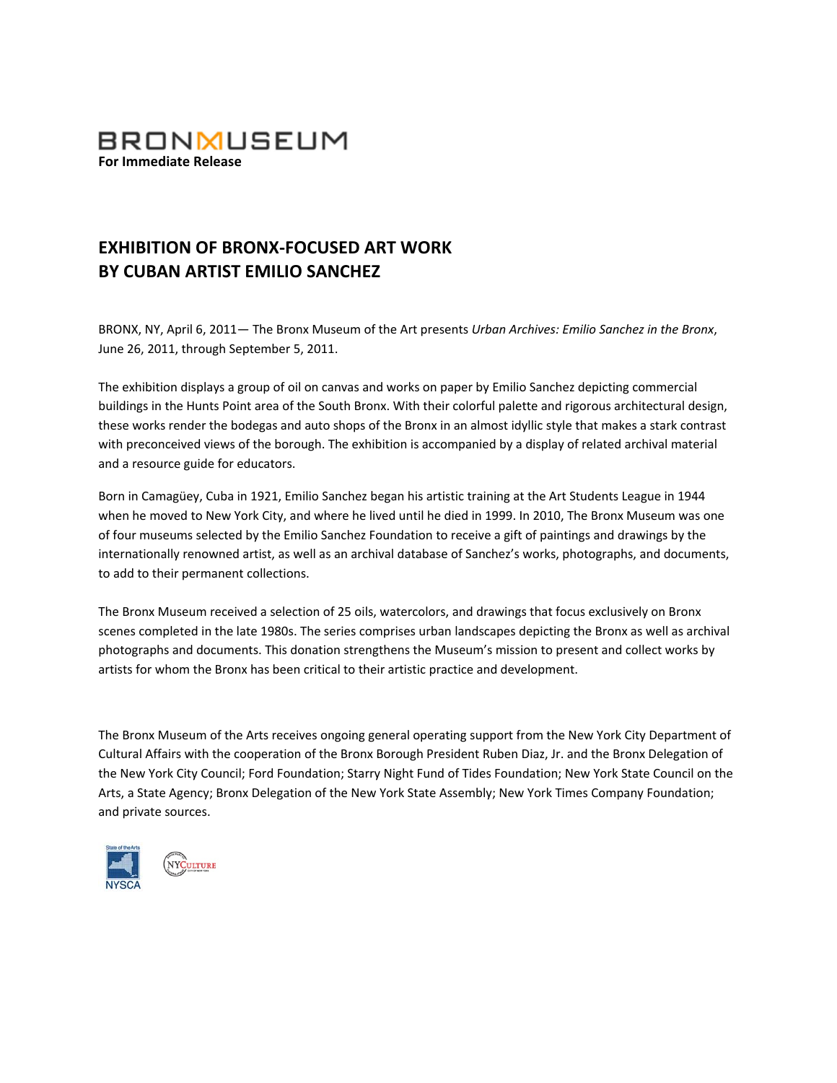

## **EXHIBITION OF BRONX‐FOCUSED ART WORK BY CUBAN ARTIST EMILIO SANCHEZ**

BRONX, NY, April 6, 2011— The Bronx Museum of the Art presents *Urban Archives: Emilio Sanchez in the Bronx*, June 26, 2011, through September 5, 2011.

The exhibition displays a group of oil on canvas and works on paper by Emilio Sanchez depicting commercial buildings in the Hunts Point area of the South Bronx. With their colorful palette and rigorous architectural design, these works render the bodegas and auto shops of the Bronx in an almost idyllic style that makes a stark contrast with preconceived views of the borough. The exhibition is accompanied by a display of related archival material and a resource guide for educators.

Born in Camagüey, Cuba in 1921, Emilio Sanchez began his artistic training at the Art Students League in 1944 when he moved to New York City, and where he lived until he died in 1999. In 2010, The Bronx Museum was one of four museums selected by the Emilio Sanchez Foundation to receive a gift of paintings and drawings by the internationally renowned artist, as well as an archival database of Sanchez's works, photographs, and documents, to add to their permanent collections.

The Bronx Museum received a selection of 25 oils, watercolors, and drawings that focus exclusively on Bronx scenes completed in the late 1980s. The series comprises urban landscapes depicting the Bronx as well as archival photographs and documents. This donation strengthens the Museum's mission to present and collect works by artists for whom the Bronx has been critical to their artistic practice and development.

The Bronx Museum of the Arts receives ongoing general operating support from the New York City Department of Cultural Affairs with the cooperation of the Bronx Borough President Ruben Diaz, Jr. and the Bronx Delegation of the New York City Council; Ford Foundation; Starry Night Fund of Tides Foundation; New York State Council on the Arts, a State Agency; Bronx Delegation of the New York State Assembly; New York Times Company Foundation; and private sources.